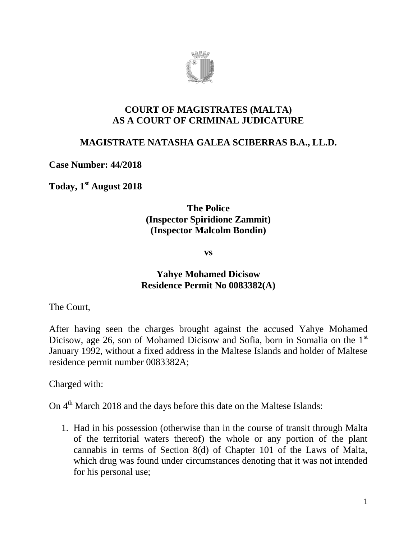

#### **COURT OF MAGISTRATES (MALTA) AS A COURT OF CRIMINAL JUDICATURE**

## **MAGISTRATE NATASHA GALEA SCIBERRAS B.A., LL.D.**

**Case Number: 44/2018**

**Today, 1 st August 2018**

## **The Police (Inspector Spiridione Zammit) (Inspector Malcolm Bondin)**

**vs**

## **Yahye Mohamed Dicisow Residence Permit No 0083382(A)**

The Court,

After having seen the charges brought against the accused Yahye Mohamed Dicisow, age 26, son of Mohamed Dicisow and Sofia, born in Somalia on the 1<sup>st</sup> January 1992, without a fixed address in the Maltese Islands and holder of Maltese residence permit number 0083382A;

Charged with:

On  $4<sup>th</sup>$  March 2018 and the days before this date on the Maltese Islands:

1. Had in his possession (otherwise than in the course of transit through Malta of the territorial waters thereof) the whole or any portion of the plant cannabis in terms of Section 8(d) of Chapter 101 of the Laws of Malta, which drug was found under circumstances denoting that it was not intended for his personal use;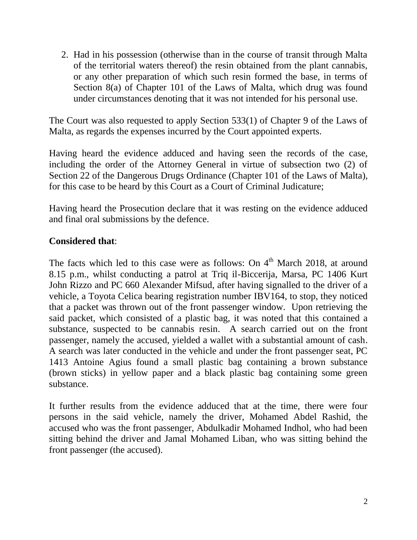2. Had in his possession (otherwise than in the course of transit through Malta of the territorial waters thereof) the resin obtained from the plant cannabis, or any other preparation of which such resin formed the base, in terms of Section 8(a) of Chapter 101 of the Laws of Malta, which drug was found under circumstances denoting that it was not intended for his personal use.

The Court was also requested to apply Section 533(1) of Chapter 9 of the Laws of Malta, as regards the expenses incurred by the Court appointed experts.

Having heard the evidence adduced and having seen the records of the case, including the order of the Attorney General in virtue of subsection two (2) of Section 22 of the Dangerous Drugs Ordinance (Chapter 101 of the Laws of Malta), for this case to be heard by this Court as a Court of Criminal Judicature;

Having heard the Prosecution declare that it was resting on the evidence adduced and final oral submissions by the defence.

## **Considered that**:

The facts which led to this case were as follows: On  $4<sup>th</sup>$  March 2018, at around 8.15 p.m., whilst conducting a patrol at Triq il-Biccerija, Marsa, PC 1406 Kurt John Rizzo and PC 660 Alexander Mifsud, after having signalled to the driver of a vehicle, a Toyota Celica bearing registration number IBV164, to stop, they noticed that a packet was thrown out of the front passenger window. Upon retrieving the said packet, which consisted of a plastic bag, it was noted that this contained a substance, suspected to be cannabis resin. A search carried out on the front passenger, namely the accused, yielded a wallet with a substantial amount of cash. A search was later conducted in the vehicle and under the front passenger seat, PC 1413 Antoine Agius found a small plastic bag containing a brown substance (brown sticks) in yellow paper and a black plastic bag containing some green substance.

It further results from the evidence adduced that at the time, there were four persons in the said vehicle, namely the driver, Mohamed Abdel Rashid, the accused who was the front passenger, Abdulkadir Mohamed Indhol, who had been sitting behind the driver and Jamal Mohamed Liban, who was sitting behind the front passenger (the accused).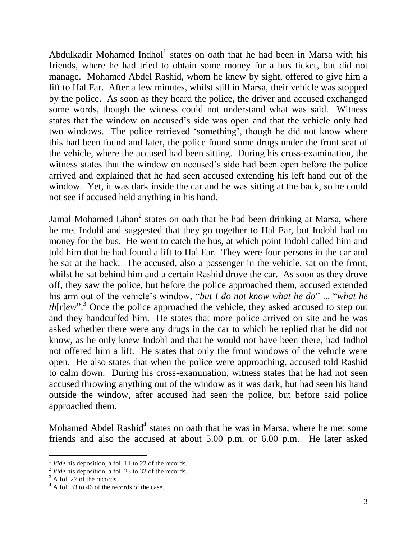Abdulkadir Mohamed Indhol<sup>1</sup> states on oath that he had been in Marsa with his friends, where he had tried to obtain some money for a bus ticket, but did not manage. Mohamed Abdel Rashid, whom he knew by sight, offered to give him a lift to Hal Far. After a few minutes, whilst still in Marsa, their vehicle was stopped by the police. As soon as they heard the police, the driver and accused exchanged some words, though the witness could not understand what was said. Witness states that the window on accused's side was open and that the vehicle only had two windows. The police retrieved 'something', though he did not know where this had been found and later, the police found some drugs under the front seat of the vehicle, where the accused had been sitting. During his cross-examination, the witness states that the window on accused's side had been open before the police arrived and explained that he had seen accused extending his left hand out of the window. Yet, it was dark inside the car and he was sitting at the back, so he could not see if accused held anything in his hand.

Jamal Mohamed Liban<sup>2</sup> states on oath that he had been drinking at Marsa, where he met Indohl and suggested that they go together to Hal Far, but Indohl had no money for the bus. He went to catch the bus, at which point Indohl called him and told him that he had found a lift to Hal Far. They were four persons in the car and he sat at the back. The accused, also a passenger in the vehicle, sat on the front, whilst he sat behind him and a certain Rashid drove the car. As soon as they drove off, they saw the police, but before the police approached them, accused extended his arm out of the vehicle's window, "*but I do not know what he do*" ... "*what he th*[r]*ew*"<sup>3</sup>. Once the police approached the vehicle, they asked accused to step out and they handcuffed him. He states that more police arrived on site and he was asked whether there were any drugs in the car to which he replied that he did not know, as he only knew Indohl and that he would not have been there, had Indhol not offered him a lift. He states that only the front windows of the vehicle were open. He also states that when the police were approaching, accused told Rashid to calm down. During his cross-examination, witness states that he had not seen accused throwing anything out of the window as it was dark, but had seen his hand outside the window, after accused had seen the police, but before said police approached them.

Mohamed Abdel Rashid<sup>4</sup> states on oath that he was in Marsa, where he met some friends and also the accused at about 5.00 p.m. or 6.00 p.m. He later asked

*Vide* his deposition, a fol. 11 to 22 of the records.

<sup>&</sup>lt;sup>2</sup> *Vide* his deposition, a fol. 23 to 32 of the records.

 $3$  A fol. 27 of the records.

 $4$  A fol. 33 to 46 of the records of the case.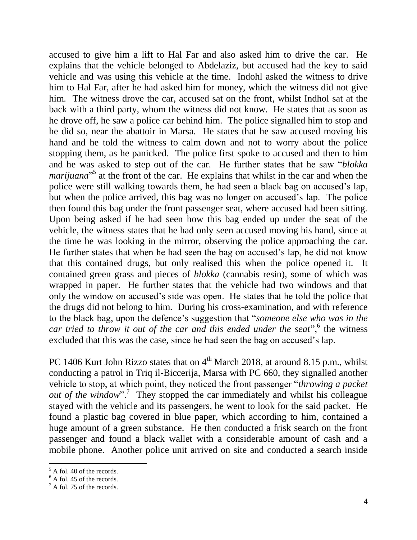accused to give him a lift to Hal Far and also asked him to drive the car. He explains that the vehicle belonged to Abdelaziz, but accused had the key to said vehicle and was using this vehicle at the time. Indohl asked the witness to drive him to Hal Far, after he had asked him for money, which the witness did not give him. The witness drove the car, accused sat on the front, whilst Indhol sat at the back with a third party, whom the witness did not know. He states that as soon as he drove off, he saw a police car behind him. The police signalled him to stop and he did so, near the abattoir in Marsa. He states that he saw accused moving his hand and he told the witness to calm down and not to worry about the police stopping them, as he panicked. The police first spoke to accused and then to him and he was asked to step out of the car. He further states that he saw "*blokka marijuana*<sup>35</sup> at the front of the car. He explains that whilst in the car and when the police were still walking towards them, he had seen a black bag on accused's lap, but when the police arrived, this bag was no longer on accused's lap. The police then found this bag under the front passenger seat, where accused had been sitting. Upon being asked if he had seen how this bag ended up under the seat of the vehicle, the witness states that he had only seen accused moving his hand, since at the time he was looking in the mirror, observing the police approaching the car. He further states that when he had seen the bag on accused's lap, he did not know that this contained drugs, but only realised this when the police opened it. It contained green grass and pieces of *blokka* (cannabis resin), some of which was wrapped in paper. He further states that the vehicle had two windows and that only the window on accused's side was open. He states that he told the police that the drugs did not belong to him. During his cross-examination, and with reference to the black bag, upon the defence's suggestion that "*someone else who was in the*  car tried to throw it out of the car and this ended under the seat",<sup>6</sup> the witness excluded that this was the case, since he had seen the bag on accused's lap.

PC 1406 Kurt John Rizzo states that on  $4<sup>th</sup>$  March 2018, at around 8.15 p.m., whilst conducting a patrol in Triq il-Biccerija, Marsa with PC 660, they signalled another vehicle to stop, at which point, they noticed the front passenger "*throwing a packet*  out of the window".<sup>7</sup> They stopped the car immediately and whilst his colleague stayed with the vehicle and its passengers, he went to look for the said packet. He found a plastic bag covered in blue paper, which according to him, contained a huge amount of a green substance. He then conducted a frisk search on the front passenger and found a black wallet with a considerable amount of cash and a mobile phone. Another police unit arrived on site and conducted a search inside

 $<sup>5</sup>$  A fol. 40 of the records.</sup>

 $6$  A fol. 45 of the records.

 $^7$  A fol. 75 of the records.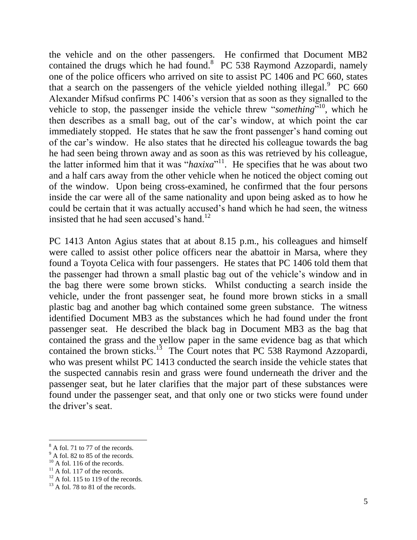the vehicle and on the other passengers. He confirmed that Document MB2 contained the drugs which he had found. $8$  PC 538 Raymond Azzopardi, namely one of the police officers who arrived on site to assist PC 1406 and PC 660, states that a search on the passengers of the vehicle yielded nothing illegal.  $P^{\text{C}}$  660 Alexander Mifsud confirms PC 1406's version that as soon as they signalled to the vehicle to stop, the passenger inside the vehicle threw "*something*" <sup>10</sup>, which he then describes as a small bag, out of the car's window, at which point the car immediately stopped. He states that he saw the front passenger's hand coming out of the car's window. He also states that he directed his colleague towards the bag he had seen being thrown away and as soon as this was retrieved by his colleague, the latter informed him that it was "*haxixa*" <sup>11</sup>. He specifies that he was about two and a half cars away from the other vehicle when he noticed the object coming out of the window. Upon being cross-examined, he confirmed that the four persons inside the car were all of the same nationality and upon being asked as to how he could be certain that it was actually accused's hand which he had seen, the witness insisted that he had seen accused's hand.<sup>12</sup>

PC 1413 Anton Agius states that at about 8.15 p.m., his colleagues and himself were called to assist other police officers near the abattoir in Marsa, where they found a Toyota Celica with four passengers. He states that PC 1406 told them that the passenger had thrown a small plastic bag out of the vehicle's window and in the bag there were some brown sticks. Whilst conducting a search inside the vehicle, under the front passenger seat, he found more brown sticks in a small plastic bag and another bag which contained some green substance. The witness identified Document MB3 as the substances which he had found under the front passenger seat. He described the black bag in Document MB3 as the bag that contained the grass and the yellow paper in the same evidence bag as that which contained the brown sticks.<sup>13</sup> The Court notes that PC 538 Raymond Azzopardi, who was present whilst PC 1413 conducted the search inside the vehicle states that the suspected cannabis resin and grass were found underneath the driver and the passenger seat, but he later clarifies that the major part of these substances were found under the passenger seat, and that only one or two sticks were found under the driver's seat.

<sup>&</sup>lt;sup>8</sup> A fol. 71 to 77 of the records.

 $9^9$  A fol. 82 to 85 of the records.

 $10$  A fol. 116 of the records.

 $11$  A fol. 117 of the records.

 $12$  A fol. 115 to 119 of the records.

 $13$  A fol. 78 to 81 of the records.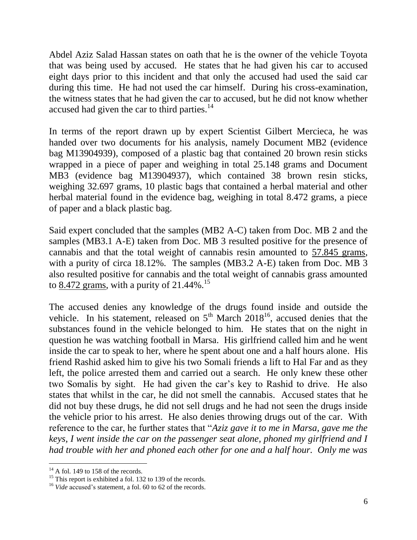Abdel Aziz Salad Hassan states on oath that he is the owner of the vehicle Toyota that was being used by accused. He states that he had given his car to accused eight days prior to this incident and that only the accused had used the said car during this time. He had not used the car himself. During his cross-examination, the witness states that he had given the car to accused, but he did not know whether accused had given the car to third parties. $14$ 

In terms of the report drawn up by expert Scientist Gilbert Mercieca, he was handed over two documents for his analysis, namely Document MB2 (evidence bag M13904939), composed of a plastic bag that contained 20 brown resin sticks wrapped in a piece of paper and weighing in total 25.148 grams and Document MB3 (evidence bag M13904937), which contained 38 brown resin sticks, weighing 32.697 grams, 10 plastic bags that contained a herbal material and other herbal material found in the evidence bag, weighing in total 8.472 grams, a piece of paper and a black plastic bag.

Said expert concluded that the samples (MB2 A-C) taken from Doc. MB 2 and the samples (MB3.1 A-E) taken from Doc. MB 3 resulted positive for the presence of cannabis and that the total weight of cannabis resin amounted to 57.845 grams, with a purity of circa 18.12%. The samples (MB3.2 A-E) taken from Doc. MB 3 also resulted positive for cannabis and the total weight of cannabis grass amounted to  $8.472$  grams, with a purity of 21.44%.<sup>15</sup>

The accused denies any knowledge of the drugs found inside and outside the vehicle. In his statement, released on  $5<sup>th</sup>$  March 2018<sup>16</sup>, accused denies that the substances found in the vehicle belonged to him. He states that on the night in question he was watching football in Marsa. His girlfriend called him and he went inside the car to speak to her, where he spent about one and a half hours alone. His friend Rashid asked him to give his two Somali friends a lift to Hal Far and as they left, the police arrested them and carried out a search. He only knew these other two Somalis by sight. He had given the car's key to Rashid to drive. He also states that whilst in the car, he did not smell the cannabis. Accused states that he did not buy these drugs, he did not sell drugs and he had not seen the drugs inside the vehicle prior to his arrest. He also denies throwing drugs out of the car. With reference to the car, he further states that "*Aziz gave it to me in Marsa, gave me the keys, I went inside the car on the passenger seat alone, phoned my girlfriend and I had trouble with her and phoned each other for one and a half hour. Only me was* 

 $14$  A fol. 149 to 158 of the records.

<sup>&</sup>lt;sup>15</sup> This report is exhibited a fol. 132 to 139 of the records.

<sup>&</sup>lt;sup>16</sup> *Vide* accused's statement, a fol. 60 to 62 of the records.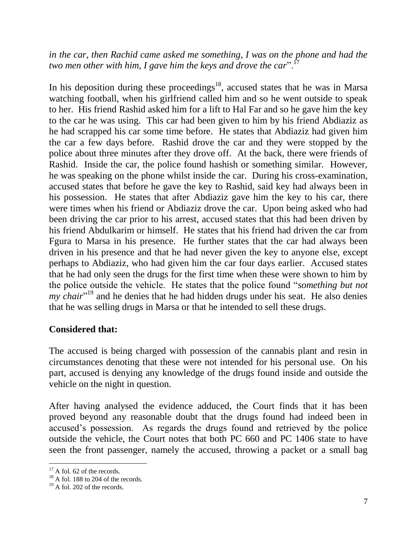*in the car, then Rachid came asked me something, I was on the phone and had the two men other with him, I gave him the keys and drove the car*".<sup>17</sup>

In his deposition during these proceedings<sup>18</sup>, accused states that he was in Marsa watching football, when his girlfriend called him and so he went outside to speak to her. His friend Rashid asked him for a lift to Hal Far and so he gave him the key to the car he was using. This car had been given to him by his friend Abdiaziz as he had scrapped his car some time before. He states that Abdiaziz had given him the car a few days before. Rashid drove the car and they were stopped by the police about three minutes after they drove off. At the back, there were friends of Rashid. Inside the car, the police found hashish or something similar. However, he was speaking on the phone whilst inside the car. During his cross-examination, accused states that before he gave the key to Rashid, said key had always been in his possession. He states that after Abdiaziz gave him the key to his car, there were times when his friend or Abdiaziz drove the car. Upon being asked who had been driving the car prior to his arrest, accused states that this had been driven by his friend Abdulkarim or himself. He states that his friend had driven the car from Fgura to Marsa in his presence. He further states that the car had always been driven in his presence and that he had never given the key to anyone else, except perhaps to Abdiaziz, who had given him the car four days earlier. Accused states that he had only seen the drugs for the first time when these were shown to him by the police outside the vehicle. He states that the police found "*something but not my chair*<sup>"19</sup> and he denies that he had hidden drugs under his seat. He also denies that he was selling drugs in Marsa or that he intended to sell these drugs.

#### **Considered that:**

The accused is being charged with possession of the cannabis plant and resin in circumstances denoting that these were not intended for his personal use. On his part, accused is denying any knowledge of the drugs found inside and outside the vehicle on the night in question.

After having analysed the evidence adduced, the Court finds that it has been proved beyond any reasonable doubt that the drugs found had indeed been in accused's possession. As regards the drugs found and retrieved by the police outside the vehicle, the Court notes that both PC 660 and PC 1406 state to have seen the front passenger, namely the accused, throwing a packet or a small bag

 $\overline{a}$  $17$  A fol. 62 of the records.

 $18$  A fol. 188 to 204 of the records.

 $19$  A fol. 202 of the records.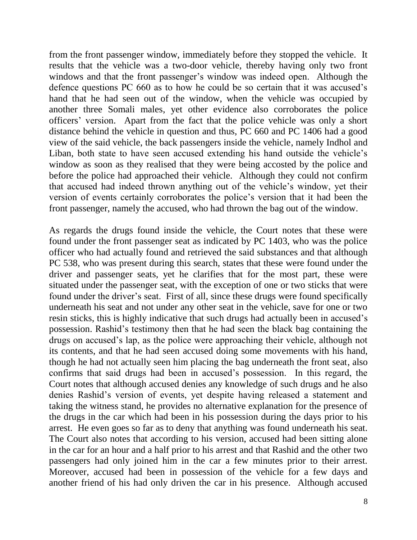from the front passenger window, immediately before they stopped the vehicle. It results that the vehicle was a two-door vehicle, thereby having only two front windows and that the front passenger's window was indeed open. Although the defence questions PC 660 as to how he could be so certain that it was accused's hand that he had seen out of the window, when the vehicle was occupied by another three Somali males, yet other evidence also corroborates the police officers' version. Apart from the fact that the police vehicle was only a short distance behind the vehicle in question and thus, PC 660 and PC 1406 had a good view of the said vehicle, the back passengers inside the vehicle, namely Indhol and Liban, both state to have seen accused extending his hand outside the vehicle's window as soon as they realised that they were being accosted by the police and before the police had approached their vehicle. Although they could not confirm that accused had indeed thrown anything out of the vehicle's window, yet their version of events certainly corroborates the police's version that it had been the front passenger, namely the accused, who had thrown the bag out of the window.

As regards the drugs found inside the vehicle, the Court notes that these were found under the front passenger seat as indicated by PC 1403, who was the police officer who had actually found and retrieved the said substances and that although PC 538, who was present during this search, states that these were found under the driver and passenger seats, yet he clarifies that for the most part, these were situated under the passenger seat, with the exception of one or two sticks that were found under the driver's seat. First of all, since these drugs were found specifically underneath his seat and not under any other seat in the vehicle, save for one or two resin sticks, this is highly indicative that such drugs had actually been in accused's possession. Rashid's testimony then that he had seen the black bag containing the drugs on accused's lap, as the police were approaching their vehicle, although not its contents, and that he had seen accused doing some movements with his hand, though he had not actually seen him placing the bag underneath the front seat, also confirms that said drugs had been in accused's possession. In this regard, the Court notes that although accused denies any knowledge of such drugs and he also denies Rashid's version of events, yet despite having released a statement and taking the witness stand, he provides no alternative explanation for the presence of the drugs in the car which had been in his possession during the days prior to his arrest. He even goes so far as to deny that anything was found underneath his seat. The Court also notes that according to his version, accused had been sitting alone in the car for an hour and a half prior to his arrest and that Rashid and the other two passengers had only joined him in the car a few minutes prior to their arrest. Moreover, accused had been in possession of the vehicle for a few days and another friend of his had only driven the car in his presence. Although accused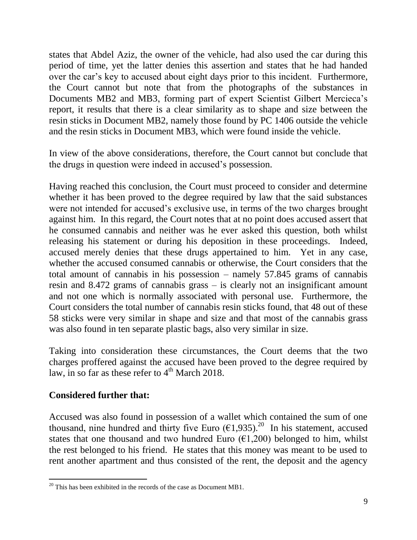states that Abdel Aziz, the owner of the vehicle, had also used the car during this period of time, yet the latter denies this assertion and states that he had handed over the car's key to accused about eight days prior to this incident. Furthermore, the Court cannot but note that from the photographs of the substances in Documents MB2 and MB3, forming part of expert Scientist Gilbert Mercieca's report, it results that there is a clear similarity as to shape and size between the resin sticks in Document MB2, namely those found by PC 1406 outside the vehicle and the resin sticks in Document MB3, which were found inside the vehicle.

In view of the above considerations, therefore, the Court cannot but conclude that the drugs in question were indeed in accused's possession.

Having reached this conclusion, the Court must proceed to consider and determine whether it has been proved to the degree required by law that the said substances were not intended for accused's exclusive use, in terms of the two charges brought against him. In this regard, the Court notes that at no point does accused assert that he consumed cannabis and neither was he ever asked this question, both whilst releasing his statement or during his deposition in these proceedings. Indeed, accused merely denies that these drugs appertained to him. Yet in any case, whether the accused consumed cannabis or otherwise, the Court considers that the total amount of cannabis in his possession – namely 57.845 grams of cannabis resin and 8.472 grams of cannabis grass – is clearly not an insignificant amount and not one which is normally associated with personal use. Furthermore, the Court considers the total number of cannabis resin sticks found, that 48 out of these 58 sticks were very similar in shape and size and that most of the cannabis grass was also found in ten separate plastic bags, also very similar in size.

Taking into consideration these circumstances, the Court deems that the two charges proffered against the accused have been proved to the degree required by law, in so far as these refer to  $4<sup>th</sup>$  March 2018.

# **Considered further that:**

 $\overline{a}$ 

Accused was also found in possession of a wallet which contained the sum of one thousand, nine hundred and thirty five Euro  $(\epsilon 1, 935)$ .<sup>20</sup> In his statement, accused states that one thousand and two hundred Euro  $(\epsilon 1, 200)$  belonged to him, whilst the rest belonged to his friend. He states that this money was meant to be used to rent another apartment and thus consisted of the rent, the deposit and the agency

 $20$  This has been exhibited in the records of the case as Document MB1.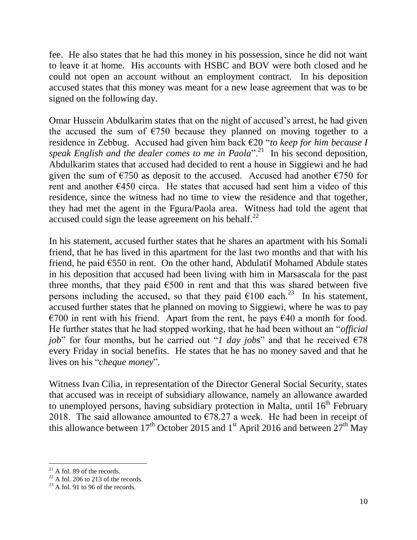fee. He also states that he had this money in his possession, since he did not want to leave it at home. His accounts with HSBC and BOV were both closed and he could not open an account without an employment contract. In his deposition accused states that this money was meant for a new lease agreement that was to be signed on the following day.

Omar Hussein Abdulkarim states that on the night of accused's arrest, he had given the accused the sum of  $E$ 750 because they planned on moving together to a residence in Zebbug. Accused had given him back €20 "*to keep for him because I*  speak English and the dealer comes to me in Paola".<sup>21</sup> In his second deposition, Abdulkarim states that accused had decided to rent a house in Siggiewi and he had given the sum of  $\epsilon$ 750 as deposit to the accused. Accused had another  $\epsilon$ 750 for rent and another  $E$ 450 circa. He states that accused had sent him a video of this residence, since the witness had no time to view the residence and that together, they had met the agent in the Fgura/Paola area. Witness had told the agent that accused could sign the lease agreement on his behalf. $^{22}$ 

In his statement, accused further states that he shares an apartment with his Somali friend, that he has lived in this apartment for the last two months and that with his friend, he paid  $\epsilon$ 550 in rent. On the other hand, Abdulatif Mohamed Abdule states in his deposition that accused had been living with him in Marsascala for the past three months, that they paid  $\epsilon$ 500 in rent and that this was shared between five persons including the accused, so that they paid  $\epsilon$ 100 each.<sup>23</sup> In his statement, accused further states that he planned on moving to Siggiewi, where he was to pay €700 in rent with his friend. Apart from the rent, he pays  $€40$  a month for food. He further states that he had stopped working, that he had been without an "*official job*" for four months, but he carried out "*l day jobs*" and that he received  $\epsilon$ 78 every Friday in social benefits. He states that he has no money saved and that he lives on his "*cheque money*".

Witness Ivan Cilia, in representation of the Director General Social Security, states that accused was in receipt of subsidiary allowance, namely an allowance awarded to unemployed persons, having subsidiary protection in Malta, until  $16<sup>th</sup>$  February 2018. The said allowance amounted to  $\epsilon$ 78.27 a week. He had been in receipt of this allowance between 17<sup>th</sup> October 2015 and 1<sup>st</sup> April 2016 and between 27<sup>th</sup> May

 $21$  A fol. 89 of the records.

 $22$  A fol. 206 to 213 of the records.

 $23$  A fol. 91 to 96 of the records.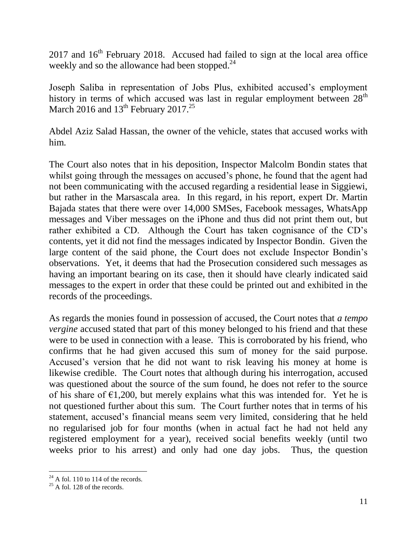$2017$  and  $16<sup>th</sup>$  February 2018. Accused had failed to sign at the local area office weekly and so the allowance had been stopped.<sup>24</sup>

Joseph Saliba in representation of Jobs Plus, exhibited accused's employment history in terms of which accused was last in regular employment between  $28<sup>th</sup>$ March 2016 and  $13<sup>th</sup>$  February 2017.<sup>25</sup>

Abdel Aziz Salad Hassan, the owner of the vehicle, states that accused works with him.

The Court also notes that in his deposition, Inspector Malcolm Bondin states that whilst going through the messages on accused's phone, he found that the agent had not been communicating with the accused regarding a residential lease in Siggiewi, but rather in the Marsascala area. In this regard, in his report, expert Dr. Martin Bajada states that there were over 14,000 SMSes, Facebook messages, WhatsApp messages and Viber messages on the iPhone and thus did not print them out, but rather exhibited a CD. Although the Court has taken cognisance of the CD's contents, yet it did not find the messages indicated by Inspector Bondin. Given the large content of the said phone, the Court does not exclude Inspector Bondin's observations. Yet, it deems that had the Prosecution considered such messages as having an important bearing on its case, then it should have clearly indicated said messages to the expert in order that these could be printed out and exhibited in the records of the proceedings.

As regards the monies found in possession of accused, the Court notes that *a tempo vergine* accused stated that part of this money belonged to his friend and that these were to be used in connection with a lease. This is corroborated by his friend, who confirms that he had given accused this sum of money for the said purpose. Accused's version that he did not want to risk leaving his money at home is likewise credible. The Court notes that although during his interrogation, accused was questioned about the source of the sum found, he does not refer to the source of his share of  $\epsilon$ 1,200, but merely explains what this was intended for. Yet he is not questioned further about this sum. The Court further notes that in terms of his statement, accused's financial means seem very limited, considering that he held no regularised job for four months (when in actual fact he had not held any registered employment for a year), received social benefits weekly (until two weeks prior to his arrest) and only had one day jobs. Thus, the question

 $^{24}$  A fol. 110 to 114 of the records.

 $25$  A fol. 128 of the records.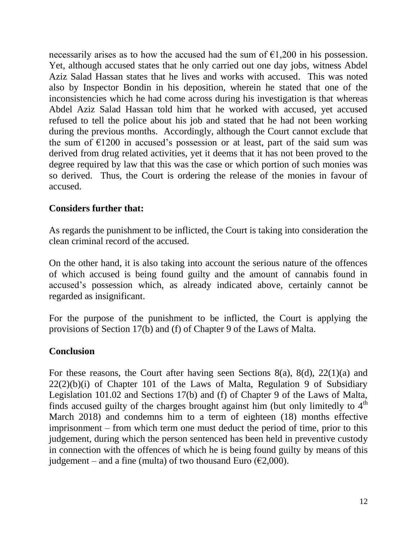necessarily arises as to how the accused had the sum of  $\epsilon$ 1,200 in his possession. Yet, although accused states that he only carried out one day jobs, witness Abdel Aziz Salad Hassan states that he lives and works with accused. This was noted also by Inspector Bondin in his deposition, wherein he stated that one of the inconsistencies which he had come across during his investigation is that whereas Abdel Aziz Salad Hassan told him that he worked with accused, yet accused refused to tell the police about his job and stated that he had not been working during the previous months. Accordingly, although the Court cannot exclude that the sum of  $E1200$  in accused's possession or at least, part of the said sum was derived from drug related activities, yet it deems that it has not been proved to the degree required by law that this was the case or which portion of such monies was so derived. Thus, the Court is ordering the release of the monies in favour of accused.

## **Considers further that:**

As regards the punishment to be inflicted, the Court is taking into consideration the clean criminal record of the accused.

On the other hand, it is also taking into account the serious nature of the offences of which accused is being found guilty and the amount of cannabis found in accused's possession which, as already indicated above, certainly cannot be regarded as insignificant.

For the purpose of the punishment to be inflicted, the Court is applying the provisions of Section 17(b) and (f) of Chapter 9 of the Laws of Malta.

#### **Conclusion**

For these reasons, the Court after having seen Sections 8(a), 8(d), 22(1)(a) and  $22(2)(b)(i)$  of Chapter 101 of the Laws of Malta, Regulation 9 of Subsidiary Legislation 101.02 and Sections 17(b) and (f) of Chapter 9 of the Laws of Malta, finds accused guilty of the charges brought against him (but only limitedly to  $4<sup>th</sup>$ March 2018) and condemns him to a term of eighteen (18) months effective imprisonment – from which term one must deduct the period of time, prior to this judgement, during which the person sentenced has been held in preventive custody in connection with the offences of which he is being found guilty by means of this judgement – and a fine (multa) of two thousand Euro ( $\epsilon$ 2,000).